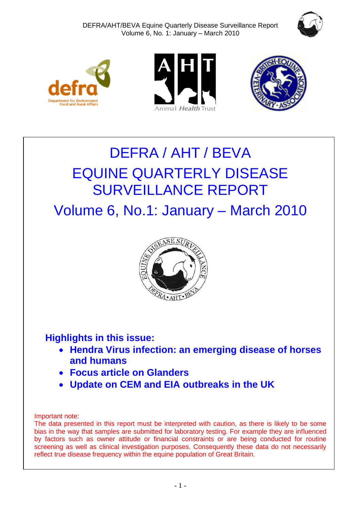







# DEFRA / AHT / BEVA EQUINE QUARTERLY DISEASE SURVEILLANCE REPORT

Volume 6, No.1: January – March 2010



# **Highlights in this issue:**

- **Hendra Virus infection: an emerging disease of horses and humans**
- **Focus article on Glanders**
- **Update on CEM and EIA outbreaks in the UK**

# Important note:

The data presented in this report must be interpreted with caution, as there is likely to be some bias in the way that samples are submitted for laboratory testing. For example they are influenced by factors such as owner attitude or financial constraints or are being conducted for routine screening as well as clinical investigation purposes. Consequently these data do not necessarily reflect true disease frequency within the equine population of Great Britain.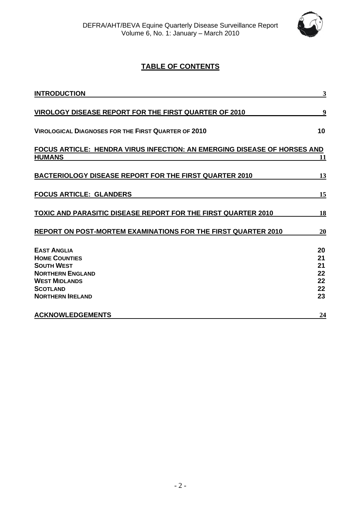

# **TABLE OF CONTENTS**

| <b>INTRODUCTION</b>                                                                                                                                              | 3                                      |
|------------------------------------------------------------------------------------------------------------------------------------------------------------------|----------------------------------------|
| VIROLOGY DISEASE REPORT FOR THE FIRST QUARTER OF 2010                                                                                                            | 9                                      |
| <b>VIROLOGICAL DIAGNOSES FOR THE FIRST QUARTER OF 2010</b>                                                                                                       | 10                                     |
| <b>FOCUS ARTICLE: HENDRA VIRUS INFECTION: AN EMERGING DISEASE OF HORSES AND</b><br><b>HUMANS</b>                                                                 | 11                                     |
| <b>BACTERIOLOGY DISEASE REPORT FOR THE FIRST QUARTER 2010</b>                                                                                                    | 13                                     |
| <b>FOCUS ARTICLE: GLANDERS</b>                                                                                                                                   | 15                                     |
| <b>TOXIC AND PARASITIC DISEASE REPORT FOR THE FIRST QUARTER 2010</b>                                                                                             | 18                                     |
| REPORT ON POST-MORTEM EXAMINATIONS FOR THE FIRST QUARTER 2010                                                                                                    | 20                                     |
| <b>EAST ANGLIA</b><br><b>HOME COUNTIES</b><br><b>SOUTH WEST</b><br><b>NORTHERN ENGLAND</b><br><b>WEST MIDLANDS</b><br><b>SCOTLAND</b><br><b>NORTHERN IRELAND</b> | 20<br>21<br>21<br>22<br>22<br>22<br>23 |
| <b>ACKNOWLEDGEMENTS</b>                                                                                                                                          | 24                                     |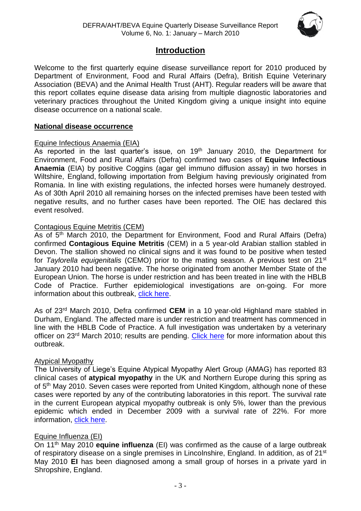

# **Introduction**

<span id="page-2-0"></span>Welcome to the first quarterly equine disease surveillance report for 2010 produced by Department of Environment, Food and Rural Affairs (Defra), British Equine Veterinary Association (BEVA) and the Animal Health Trust (AHT). Regular readers will be aware that this report collates equine disease data arising from multiple diagnostic laboratories and veterinary practices throughout the United Kingdom giving a unique insight into equine disease occurrence on a national scale.

#### **National disease occurrence**

#### Equine Infectious Anaemia (EIA)

As reported in the last quarter's issue, on  $19<sup>th</sup>$  January 2010, the Department for Environment, Food and Rural Affairs (Defra) confirmed two cases of **Equine Infectious Anaemia** (EIA) by positive Coggins (agar gel immuno diffusion assay) in two horses in Wiltshire, England, following importation from Belgium having previously originated from Romania. In line with existing regulations, the infected horses were humanely destroyed. As of 30th April 2010 all remaining horses on the infected premises have been tested with negative results, and no further cases have been reported. The OIE has declared this event resolved.

#### Contagious Equine Metritis (CEM)

As of 5<sup>th</sup> March 2010, the Department for Environment, Food and Rural Affairs (Defra) confirmed **Contagious Equine Metritis** (CEM) in a 5 year-old Arabian stallion stabled in Devon. The stallion showed no clinical signs and it was found to be positive when tested for *Taylorella equigenitalis* (CEMO) prior to the mating season. A previous test on 21st January 2010 had been negative. The horse originated from another Member State of the European Union. The horse is under restriction and has been treated in line with the HBLB Code of Practice. Further epidemiological investigations are on-going. For more information about this outbreak, [click here.](http://www.oie.int/wahis/public.php?page=single_report&pop=1&reportid=9202)

As of 23rd March 2010, Defra confirmed **CEM** in a 10 year-old Highland mare stabled in Durham, England. The affected mare is under restriction and treatment has commenced in line with the HBLB Code of Practice. A full investigation was undertaken by a veterinary officer on 23<sup>rd</sup> March 2010; results are pending. [Click here](http://www.oie.int/wahis/public.php?page=single_report&pop=1&reportid=9201) for more information about this outbreak.

#### Atypical Myopathy

The University of Liege's Equine Atypical Myopathy Alert Group (AMAG) has reported 83 clinical cases of **atypical myopathy** in the UK and Northern Europe during this spring as of 5<sup>th</sup> May 2010. Seven cases were reported from United Kingdom, although none of these cases were reported by any of the contributing laboratories in this report. The survival rate in the current European atypical myopathy outbreak is only 5%, lower than the previous epidemic which ended in December 2009 with a survival rate of 22%. For more information, [click here.](http://www.myopathieatypique.be/)

#### Equine Influenza (EI)

On 11th May 2010 **equine influenza** (EI) was confirmed as the cause of a large outbreak of respiratory disease on a single premises in Lincolnshire, England. In addition, as of 21<sup>st</sup> May 2010 **EI** has been diagnosed among a small group of horses in a private yard in Shropshire, England.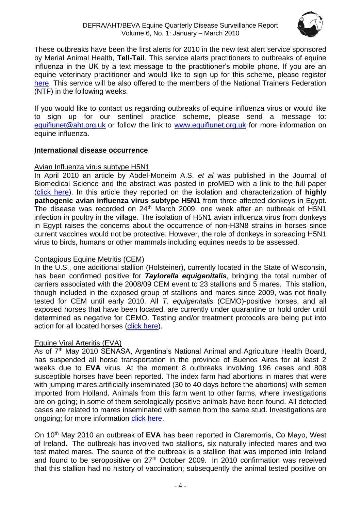

These outbreaks have been the first alerts for 2010 in the new text alert service sponsored by Merial Animal Health, **Tell-Tail**. This service alerts practitioners to outbreaks of equine influenza in the UK by a text message to the practitioner's mobile phone. If you are an equine veterinary practitioner and would like to sign up for this scheme, please register [here.](http://www.merial.co.uk/) This service will be also offered to the members of the National Trainers Federation (NTF) in the following weeks.

If you would like to contact us regarding outbreaks of equine influenza virus or would like to sign up for our sentinel practice scheme, please send a message to: [equiflunet@aht.org.uk](mailto:equiflunet@aht.org.uk) or follow the link to [www.equiflunet.org.uk](http://www.equiflunet.org.uk/) for more information on equine influenza.

#### **International disease occurrence**

## Avian Influenza virus subtype H5N1

In April 2010 an article by Abdel-Moneim A.S. *et al* was published in the Journal of Biomedical Science and the abstract was posted in proMED with a link to the full paper [\(click here\)](http://www.promedmail.org/pls/otn/f?p=2400:1202:861534851306622::NO::F2400_P1202_CHECK_DISPLAY,F2400_P1202_PUB_MAIL_ID:X,82274). In this article they reported on the isolation and characterization of **highly pathogenic avian influenza virus subtype H5N1** from three affected donkeys in Egypt. The disease was recorded on 24<sup>th</sup> March 2009, one week after an outbreak of H5N1 infection in poultry in the village. The isolation of H5N1 avian influenza virus from donkeys in Egypt raises the concerns about the occurrence of non-H3N8 strains in horses since current vaccines would not be protective. However, the role of donkeys in spreading H5N1 virus to birds, humans or other mammals including equines needs to be assessed.

# Contagious Equine Metritis (CEM)

In the U.S., one additional stallion (Holsteiner), currently located in the State of Wisconsin, has been confirmed positive for *Taylorella equigenitalis*, bringing the total number of carriers associated with the 2008/09 CEM event to 23 stallions and 5 mares. This stallion, though included in the exposed group of stallions and mares since 2009, was not finally tested for CEM until early 2010. All *T. equigenitalis* (CEMO)-positive horses, and all exposed horses that have been located, are currently under quarantine or hold order until determined as negative for CEMO. Testing and/or treatment protocols are being put into action for all located horses [\(click here\)](http://www.oie.int/wahis/public.php?page=single_report&pop=1&reportid=8550).

# Equine Viral Arteritis (EVA)

As of 7<sup>th</sup> May 2010 SENASA, Argentina's National Animal and Agriculture Health Board, has suspended all horse transportation in the province of Buenos Aires for at least 2 weeks due to **EVA** virus. At the moment 8 outbreaks involving 196 cases and 808 susceptible horses have been reported. The index farm had abortions in mares that were with jumping mares artificially inseminated (30 to 40 days before the abortions) with semen imported from Holland. Animals from this farm went to other farms, where investigations are on-going; in some of them serologically positive animals have been found. All detected cases are related to mares inseminated with semen from the same stud. Investigations are ongoing; for more information [click here.](http://www.oie.int/wahis/public.php?page=event_summary&reportid=9233)

On 10th May 2010 an outbreak of **EVA** has been reported in Claremorris, Co Mayo, West of Ireland. The outbreak has involved two stallions, six naturally infected mares and two test mated mares. The source of the outbreak is a stallion that was imported into Ireland and found to be seropositive on 27<sup>th</sup> October 2009. In 2010 confirmation was received that this stallion had no history of vaccination; subsequently the animal tested positive on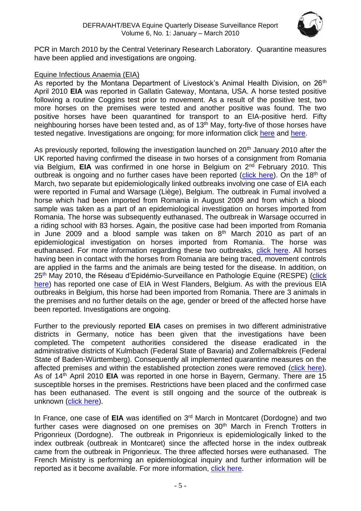

PCR in March 2010 by the Central Veterinary Research Laboratory. Quarantine measures have been applied and investigations are ongoing.

## Equine Infectious Anaemia (EIA)

As reported by the Montana Department of Livestock's Animal Health Division, on 26<sup>th</sup> April 2010 **EIA** was reported in Gallatin Gateway, Montana, USA. A horse tested positive following a routine Coggins test prior to movement. As a result of the positive test, two more horses on the premises were tested and another positive was found. The two positive horses have been quarantined for transport to an EIA-positive herd. Fifty neighbouring horses have been tested and, as of 13<sup>th</sup> May, forty-five of those horses have tested negative. Investigations are ongoing; for more information click [here](http://liv.mt.gov/liv/news/2010/20100426.asp) and [here.](http://www.promedmail.org/)

As previously reported, following the investigation launched on 20<sup>th</sup> January 2010 after the UK reported having confirmed the disease in two horses of a consignment from Romania via Belgium, **EIA** was confirmed in one horse in Belgium on 2nd February 2010. This outbreak is ongoing and no further cases have been reported [\(click here\)](http://www.oie.int/wahis/public.php?page=single_report&pop=1&reportid=8917). On the 18<sup>th</sup> of March, two separate but epidemiologically linked outbreaks involving one case of EIA each were reported in Fumal and Warsage (Liège), Belgium. The outbreak in Fumal involved a horse which had been imported from Romania in August 2009 and from which a blood sample was taken as a part of an epidemiological investigation on horses imported from Romania. The horse was subsequently euthanased. The outbreak in Warsage occurred in a riding school with 83 horses. Again, the positive case had been imported from Romania in June 2009 and a blood sample was taken on  $8<sup>th</sup>$  March 2010 as part of an epidemiological investigation on horses imported from Romania. The horse was euthanased. For more information regarding these two outbreaks, [click here.](http://www.oie.int/wahis/public.php?page=single_report&pop=1&reportid=9059) All horses having been in contact with the horses from Romania are being traced, movement controls are applied in the farms and the animals are being tested for the disease. In addition, on 25th May 2010, the Réseau d'Epidémio-Surveillance en Pathologie Equine (RESPE) [\(click](http://www.respe.net/info/un-foyer-dan%C3%A9mie-infectieuse-equine-en-flandre-occidentale-belgique)  [here\)](http://www.respe.net/info/un-foyer-dan%C3%A9mie-infectieuse-equine-en-flandre-occidentale-belgique) has reported one case of EIA in West Flanders, Belgium. As with the previous EIA outbreaks in Belgium, this horse had been imported from Romania. There are 3 animals in the premises and no further details on the age, gender or breed of the affected horse have been reported. Investigations are ongoing.

Further to the previously reported **EIA** cases on premises in two different administrative districts in Germany, notice has been given that the investigations have been completed. The competent authorities considered the disease eradicated in the administrative districts of Kulmbach (Federal State of Bavaria) and Zollernalbkreis (Federal State of Baden-Württemberg). Consequently all implemented quarantine measures on the affected premises and within the established protection zones were removed [\(click here\)](http://www.oie.int/wahis/public.php?page=single_report&pop=1&reportid=8704). As of 14th April 2010 **EIA** was reported in one horse in Bayern, Germany. There are 15 susceptible horses in the premises. Restrictions have been placed and the confirmed case has been euthanased. The event is still ongoing and the source of the outbreak is unknown [\(click here\)](http://www.oie.int/wahis/public.php?page=single_report&pop=1&reportid=9142).

In France, one case of EIA was identified on 3<sup>rd</sup> March in Montcaret (Dordogne) and two further cases were diagnosed on one premises on 30<sup>th</sup> March in French Trotters in Prigonrieux (Dordogne). The outbreak in Prigonrieux is epidemiologically linked to the index outbreak (outbreak in Montcaret) since the affected horse in the index outbreak came from the outbreak in Prigonrieux. The three affected horses were euthanased. The French Ministry is performing an epidemiological inquiry and further information will be reported as it become available. For more information, [click here.](http://www.oie.int/wahis/public.php?page=single_report&pop=1&reportid=9104)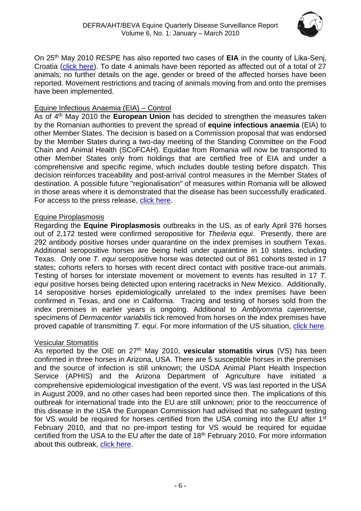

On 25th May 2010 RESPE has also reported two cases of **EIA** in the county of Lika-Senj, Croatia [\(click here\)](http://www.respe.net/info/deux-foyers-dan%C3%A9mie-infectieuse-equine-dans-le-comitat-de-lika-senj-croatie). To date 4 animals have been reported as affected out of a total of 27 animals; no further details on the age, gender or breed of the affected horses have been reported. Movement restrictions and tracing of animals moving from and onto the premises have been implemented.

## Equine Infectious Anaemia (EIA) – Control

As of 4th May 2010 the **European Union** has decided to strengthen the measures taken by the Romanian authorities to prevent the spread of **equine infectious anaemia** (EIA) to other Member States. The decision is based on a Commission proposal that was endorsed by the Member States during a two-day meeting of the Standing Committee on the Food Chain and Animal Health (SCoFCAH). Equidae from Romania will now be transported to other Member States only from holdings that are certified free of EIA and under a comprehensive and specific regime, which includes double testing before dispatch. This decision reinforces traceability and post-arrival control measures in the Member States of destination. A possible future "regionalisation" of measures within Romania will be allowed in those areas where it is demonstrated that the disease has been successfully eradicated. For access to the press release, [click here.](http://europa.eu/rapid/pressReleasesAction.do?reference=IP/10/493&format=HTML&aged=0&language=EN&guiLanguage=en)

#### Equine Piroplasmosis

Regarding the **Equine Piroplasmosis** outbreaks in the US, as of early April 376 horses out of 2,172 tested were confirmed seropositive for *Theileria equi*. Presently, there are 292 antibody positive horses under quarantine on the index premises in southern Texas. Additional seropositive horses are being held under quarantine in 10 states, including Texas. Only one *T. equi* seropositive horse was detected out of 861 cohorts tested in 17 states; cohorts refers to horses with recent direct contact with positive trace-out animals. Testing of horses for interstate movement or movement to events has resulted in 17 *T. equi* positive horses being detected upon entering racetracks in New Mexico. Additionally, 14 seropositive horses epidemiologically unrelated to the index premises have been confirmed in Texas, and one in California. Tracing and testing of horses sold from the index premises in earlier years is ongoing. Additional to *Amblyomma cajennense,*  specimens of *Dermacentor variabilis* tick removed from horses on the index premises have proved capable of transmitting *T. equi*. For more information of the US situation, [click here.](http://www.oie.int/wahis/public.php?page=disease_immediate_summary&disease_type=Terrestrial&disease_id=61&empty=999999)

#### Vesicular Stomatitis

As reported by the OIE on 27th May 2010, **vesicular stomatitis virus** (VS) has been confirmed in three horses in Arizona, USA. There are 5 susceptible horses in the premises and the source of infection is still unknown; the USDA Animal Plant Health Inspection Service (APHIS) and the Arizona Department of Agriculture have initiated a comprehensive epidemiological investigation of the event. VS was last reported in the USA in August 2009, and no other cases had been reported since then. The implications of this outbreak for international trade into the EU are still unknown; prior to the reoccurrence of this disease in the USA the European Commission had advised that no safeguard testing for VS would be required for horses certified from the USA coming into the EU after 1<sup>st</sup> February 2010, and that no pre-import testing for VS would be required for equidae certified from the USA to the EU after the date of 18<sup>th</sup> February 2010. For more information about this outbreak, [click here.](http://www.oie.int/wahis/public.php?page=event_summary&reportid=9312)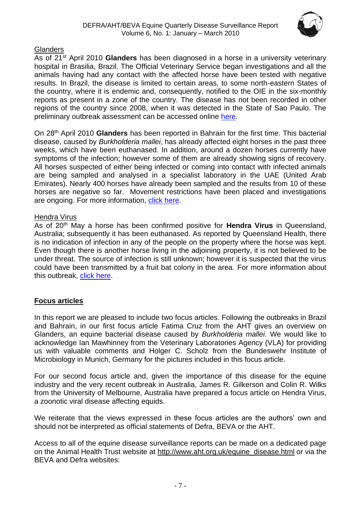

# **Glanders**

As of 21st April 2010 **Glanders** has been diagnosed in a horse in a university veterinary hospital in Brasilia, Brazil. The Official Veterinary Service began investigations and all the animals having had any contact with the affected horse have been tested with negative results. In Brazil, the disease is limited to certain areas, to some north-eastern States of the country, where it is endemic and, consequently, notified to the OIE in the six-monthly reports as present in a zone of the country. The disease has not been recorded in other regions of the country since 2008, when it was detected in the State of Sao Paulo. The preliminary outbreak assessment can be accessed online [here.](http://www.defra.gov.uk/foodfarm/farmanimal/diseases/monitoring/documents/glanders-brazil100423.pdf)

On 28th April 2010 **Glanders** has been reported in Bahrain for the first time. This bacterial disease, caused by *Burkholderia mallei*, has already affected eight horses in the past three weeks, which have been euthanased. In addition, around a dozen horses currently have symptoms of the infection; however some of them are already showing signs of recovery. All horses suspected of either being infected or coming into contact with infected animals are being sampled and analysed in a specialist laboratory in the UAE (United Arab Emirates). Nearly 400 horses have already been sampled and the results from 10 of these horses are negative so far. Movement restrictions have been placed and investigations are ongoing. For more information, [click here.](http://www.promedmail.org/pls/apex/f?p=2400:1202:5516620624872004::NO::F2400_P1202_CHECK_DISPLAY,F2400_P1202_PUB_MAIL_ID:X,82453)

#### Hendra Virus

As of 20th May a horse has been confirmed positive for **Hendra Virus** in Queensland, Australia; subsequently it has been euthanased. As reported by Queensland Health, there is no indication of infection in any of the people on the property where the horse was kept. Even though there is another horse living in the adjoining property, it is not believed to be under threat. The source of infection is still unknown; however it is suspected that the virus could have been transmitted by a fruit bat colony in the area. For more information about this outbreak, [click here.](http://www.promedmail.org/pls/apex/f?p=2400:1202:2957519025825494::NO::F2400_P1202_CHECK_DISPLAY,F2400_P1202_PUB_MAIL_ID:X,82826)

# **Focus articles**

In this report we are pleased to include two focus articles. Following the outbreaks in Brazil and Bahrain, in our first focus article Fatima Cruz from the AHT gives an overview on Glanders, an equine bacterial disease caused by *Burkholderia mallei*. We would like to acknowledge Ian Mawhinney from the Veterinary Laboratories Agency (VLA) for providing us with valuable comments and Holger C. Scholz from the Bundeswehr Institute of Microbiology in Munich, Germany for the pictures included in this focus article.

For our second focus article and, given the importance of this disease for the equine industry and the very recent outbreak in Australia, James R. Gilkerson and Colin R. Wilks from the University of Melbourne, Australia have prepared a focus article on Hendra Virus, a zoonotic viral disease affecting equids.

We reiterate that the views expressed in these focus articles are the authors' own and should not be interpreted as official statements of Defra, BEVA or the AHT.

Access to all of the equine disease surveillance reports can be made on a dedicated page on the Animal Health Trust website at [http://www.aht.org.uk/equine\\_disease.html](http://www.aht.org.uk/equine_disease.html) or via the BEVA and Defra websites: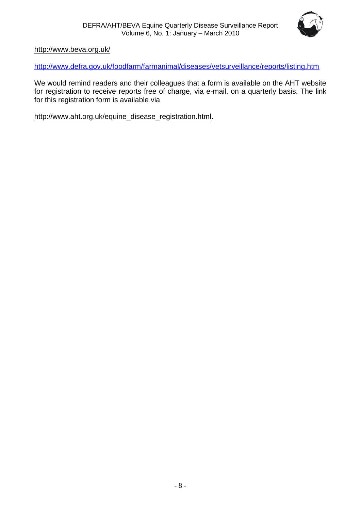

<http://www.beva.org.uk/>

<http://www.defra.gov.uk/foodfarm/farmanimal/diseases/vetsurveillance/reports/listing.htm>

We would remind readers and their colleagues that a form is available on the AHT website for registration to receive reports free of charge, via e-mail, on a quarterly basis. The link for this registration form is available via

[http://www.aht.org.uk/equine\\_disease\\_registration.html.](http://www.aht.org.uk/equine_disease_registration.html)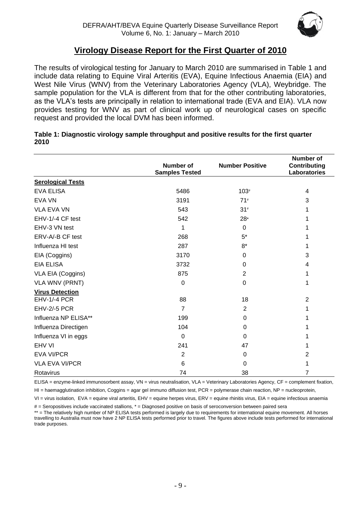

# **Virology Disease Report for the First Quarter of 2010**

<span id="page-8-0"></span>The results of virological testing for January to March 2010 are summarised in Table 1 and include data relating to Equine Viral Arteritis (EVA), Equine Infectious Anaemia (EIA) and West Nile Virus (WNV) from the Veterinary Laboratories Agency (VLA), Weybridge. The sample population for the VLA is different from that for the other contributing laboratories, as the VLA's tests are principally in relation to international trade (EVA and EIA). VLA now provides testing for WNV as part of clinical work up of neurological cases on specific request and provided the local DVM has been informed.

|                          | Number of<br><b>Samples Tested</b> | <b>Number Positive</b> | <b>Number of</b><br><b>Contributing</b><br>Laboratories |
|--------------------------|------------------------------------|------------------------|---------------------------------------------------------|
| <b>Serological Tests</b> |                                    |                        |                                                         |
| <b>EVA ELISA</b>         | 5486                               | $103*$                 | 4                                                       |
| <b>EVA VN</b>            | 3191                               | 71#                    | 3                                                       |
| <b>VLA EVA VN</b>        | 543                                | $31*$                  | 1                                                       |
| EHV-1/-4 CF test         | 542                                | 28*                    | 1                                                       |
| EHV-3 VN test            | 1                                  | $\Omega$               | 1                                                       |
| ERV-A/-B CF test         | 268                                | $5*$                   | 1                                                       |
| Influenza HI test        | 287                                | $8*$                   | 1                                                       |
| EIA (Coggins)            | 3170                               | 0                      | 3                                                       |
| <b>EIA ELISA</b>         | 3732                               | 0                      | 4                                                       |
| VLA EIA (Coggins)        | 875                                | $\overline{2}$         | 1                                                       |
| <b>VLA WNV (PRNT)</b>    | $\mathbf 0$                        | 0                      | 1                                                       |
| <b>Virus Detection</b>   |                                    |                        |                                                         |
| <b>EHV-1/-4 PCR</b>      | 88                                 | 18                     | $\overline{2}$                                          |
| <b>EHV-2/-5 PCR</b>      | $\overline{7}$                     | $\overline{2}$         | 1                                                       |
| Influenza NP ELISA**     | 199                                | $\Omega$               | 1                                                       |
| Influenza Directigen     | 104                                | 0                      | 1                                                       |
| Influenza VI in eggs     | $\mathbf 0$                        | $\Omega$               | 1                                                       |
| EHV VI                   | 241                                | 47                     | 1                                                       |
| <b>EVA VI/PCR</b>        | $\overline{2}$                     | 0                      | $\overline{2}$                                          |
| <b>VLA EVA VI/PCR</b>    | 6                                  | $\Omega$               | 1                                                       |
| Rotavirus                | 74                                 | 38                     | 7                                                       |

#### **Table 1: Diagnostic virology sample throughput and positive results for the first quarter 2010**

ELISA = enzyme-linked immunosorbent assay, VN = virus neutralisation, VLA = Veterinary Laboratories Agency, CF = complement fixation,

 $H =$  haemagglutination inhibition, Coggins = agar gel immuno diffusion test, PCR = polymerase chain reaction, NP = nucleoprotein,

VI = virus isolation, EVA = equine viral arteritis, EHV = equine herpes virus, ERV = equine rhinitis virus, EIA = equine infectious anaemia

# = Seropositives include vaccinated stallions, \* = Diagnosed positive on basis of seroconversion between paired sera

\*\* = The relatively high number of NP ELISA tests performed is largely due to requirements for international equine movement. All horses travelling to Australia must now have 2 NP ELISA tests performed prior to travel. The figures above include tests performed for international trade purposes.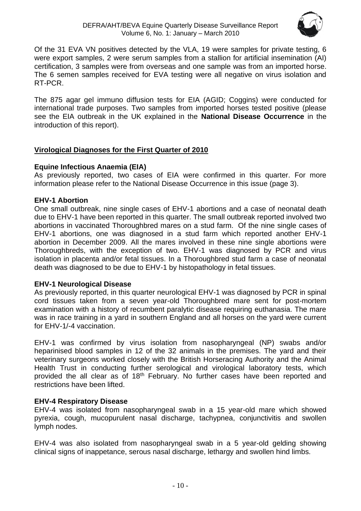

Of the 31 EVA VN positives detected by the VLA, 19 were samples for private testing, 6 were export samples, 2 were serum samples from a stallion for artificial insemination (AI) certification, 3 samples were from overseas and one sample was from an imported horse. The 6 semen samples received for EVA testing were all negative on virus isolation and RT-PCR.

The 875 agar gel immuno diffusion tests for EIA (AGID; Coggins) were conducted for international trade purposes. Two samples from imported horses tested positive (please see the EIA outbreak in the UK explained in the **National Disease Occurrence** in the introduction of this report).

## <span id="page-9-0"></span>**Virological Diagnoses for the First Quarter of 2010**

## **Equine Infectious Anaemia (EIA)**

As previously reported, two cases of EIA were confirmed in this quarter. For more information please refer to the National Disease Occurrence in this issue (page 3).

#### **EHV-1 Abortion**

One small outbreak, nine single cases of EHV-1 abortions and a case of neonatal death due to EHV-1 have been reported in this quarter. The small outbreak reported involved two abortions in vaccinated Thoroughbred mares on a stud farm. Of the nine single cases of EHV-1 abortions, one was diagnosed in a stud farm which reported another EHV-1 abortion in December 2009. All the mares involved in these nine single abortions were Thoroughbreds, with the exception of two. EHV-1 was diagnosed by PCR and virus isolation in placenta and/or fetal tissues. In a Thoroughbred stud farm a case of neonatal death was diagnosed to be due to EHV-1 by histopathology in fetal tissues.

#### **EHV-1 Neurological Disease**

As previously reported, in this quarter neurological EHV-1 was diagnosed by PCR in spinal cord tissues taken from a seven year-old Thoroughbred mare sent for post-mortem examination with a history of recumbent paralytic disease requiring euthanasia. The mare was in race training in a yard in southern England and all horses on the yard were current for EHV-1/-4 vaccination.

EHV-1 was confirmed by virus isolation from nasopharyngeal (NP) swabs and/or heparinised blood samples in 12 of the 32 animals in the premises. The yard and their veterinary surgeons worked closely with the British Horseracing Authority and the Animal Health Trust in conducting further serological and virological laboratory tests, which provided the all clear as of 18th February. No further cases have been reported and restrictions have been lifted.

# **EHV-4 Respiratory Disease**

EHV-4 was isolated from nasopharyngeal swab in a 15 year-old mare which showed pyrexia, cough, mucopurulent nasal discharge, tachypnea, conjunctivitis and swollen lymph nodes.

EHV-4 was also isolated from nasopharyngeal swab in a 5 year-old gelding showing clinical signs of inappetance, serous nasal discharge, lethargy and swollen hind limbs.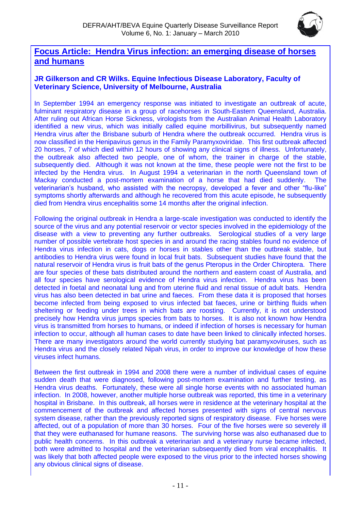

# <span id="page-10-0"></span>**Focus Article: Hendra Virus infection: an emerging disease of horses and humans**

## **JR Gilkerson and CR Wilks. Equine Infectious Disease Laboratory, Faculty of Veterinary Science, University of Melbourne, Australia**

In September 1994 an emergency response was initiated to investigate an outbreak of acute, fulminant respiratory disease in a group of racehorses in South-Eastern Queensland, Australia. After ruling out African Horse Sickness, virologists from the Australian Animal Health Laboratory identified a new virus, which was initially called equine morbillivirus, but subsequently named Hendra virus after the Brisbane suburb of Hendra where the outbreak occurred. Hendra virus is now classified in the Henipavirus genus in the Family Paramyxoviridae. This first outbreak affected 20 horses, 7 of which died within 12 hours of showing any clinical signs of illness. Unfortunately, the outbreak also affected two people, one of whom, the trainer in charge of the stable, subsequently died. Although it was not known at the time, these people were not the first to be infected by the Hendra virus. In August 1994 a veterinarian in the north Queensland town of Mackay conducted a post-mortem examination of a horse that had died suddenly. The veterinarian's husband, who assisted with the necropsy, developed a fever and other "flu-like" symptoms shortly afterwards and although he recovered from this acute episode, he subsequently died from Hendra virus encephalitis some 14 months after the original infection.

Following the original outbreak in Hendra a large-scale investigation was conducted to identify the source of the virus and any potential reservoir or vector species involved in the epidemiology of the disease with a view to preventing any further outbreaks. Serological studies of a very large number of possible vertebrate host species in and around the racing stables found no evidence of Hendra virus infection in cats, dogs or horses in stables other than the outbreak stable, but antibodies to Hendra virus were found in local fruit bats. Subsequent studies have found that the natural reservoir of Hendra virus is fruit bats of the genus Pteropus in the Order Chiroptera. There are four species of these bats distributed around the northern and eastern coast of Australia, and all four species have serological evidence of Hendra virus infection. Hendra virus has been detected in foetal and neonatal lung and from uterine fluid and renal tissue of adult bats. Hendra virus has also been detected in bat urine and faeces. From these data it is proposed that horses become infected from being exposed to virus infected bat faeces, urine or birthing fluids when sheltering or feeding under trees in which bats are roosting. Currently, it is not understood precisely how Hendra virus jumps species from bats to horses. It is also not known how Hendra virus is transmitted from horses to humans, or indeed if infection of horses is necessary for human infection to occur, although all human cases to date have been linked to clinically infected horses. There are many investigators around the world currently studying bat paramyxoviruses, such as Hendra virus and the closely related Nipah virus, in order to improve our knowledge of how these viruses infect humans.

Between the first outbreak in 1994 and 2008 there were a number of individual cases of equine sudden death that were diagnosed, following post-mortem examination and further testing, as Hendra virus deaths. Fortunately, these were all single horse events with no associated human infection. In 2008, however, another multiple horse outbreak was reported, this time in a veterinary hospital in Brisbane. In this outbreak, all horses were in residence at the veterinary hospital at the commencement of the outbreak and affected horses presented with signs of central nervous system disease, rather than the previously reported signs of respiratory disease. Five horses were affected, out of a population of more than 30 horses. Four of the five horses were so severely ill that they were euthanased for humane reasons. The surviving horse was also euthanased due to public health concerns. In this outbreak a veterinarian and a veterinary nurse became infected, both were admitted to hospital and the veterinarian subsequently died from viral encephalitis. It was likely that both affected people were exposed to the virus prior to the infected horses showing any obvious clinical signs of disease.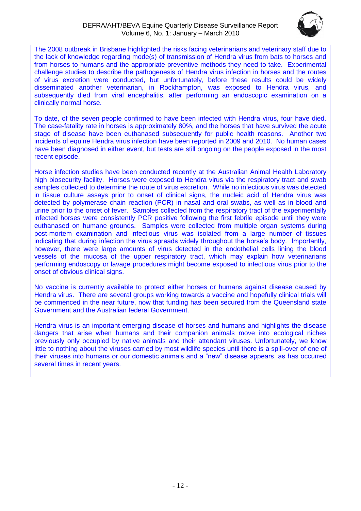

The 2008 outbreak in Brisbane highlighted the risks facing veterinarians and veterinary staff due to the lack of knowledge regarding mode(s) of transmission of Hendra virus from bats to horses and from horses to humans and the appropriate preventive methods they need to take. Experimental challenge studies to describe the pathogenesis of Hendra virus infection in horses and the routes of virus excretion were conducted, but unfortunately, before these results could be widely disseminated another veterinarian, in Rockhampton, was exposed to Hendra virus, and subsequently died from viral encephalitis, after performing an endoscopic examination on a clinically normal horse.

To date, of the seven people confirmed to have been infected with Hendra virus, four have died. The case-fatality rate in horses is approximately 80%, and the horses that have survived the acute stage of disease have been euthanased subsequently for public health reasons. Another two incidents of equine Hendra virus infection have been reported in 2009 and 2010. No human cases have been diagnosed in either event, but tests are still ongoing on the people exposed in the most recent episode.

Horse infection studies have been conducted recently at the Australian Animal Health Laboratory high biosecurity facility. Horses were exposed to Hendra virus via the respiratory tract and swab samples collected to determine the route of virus excretion. While no infectious virus was detected in tissue culture assays prior to onset of clinical signs, the nucleic acid of Hendra virus was detected by polymerase chain reaction (PCR) in nasal and oral swabs, as well as in blood and urine prior to the onset of fever. Samples collected from the respiratory tract of the experimentally infected horses were consistently PCR positive following the first febrile episode until they were euthanased on humane grounds. Samples were collected from multiple organ systems during post-mortem examination and infectious virus was isolated from a large number of tissues indicating that during infection the virus spreads widely throughout the horse's body. Importantly, however, there were large amounts of virus detected in the endothelial cells lining the blood vessels of the mucosa of the upper respiratory tract, which may explain how veterinarians performing endoscopy or lavage procedures might become exposed to infectious virus prior to the onset of obvious clinical signs.

No vaccine is currently available to protect either horses or humans against disease caused by Hendra virus. There are several groups working towards a vaccine and hopefully clinical trials will be commenced in the near future, now that funding has been secured from the Queensland state Government and the Australian federal Government.

Hendra virus is an important emerging disease of horses and humans and highlights the disease dangers that arise when humans and their companion animals move into ecological niches previously only occupied by native animals and their attendant viruses. Unfortunately, we know little to nothing about the viruses carried by most wildlife species until there is a spill-over of one of their viruses into humans or our domestic animals and a "new" disease appears, as has occurred several times in recent years.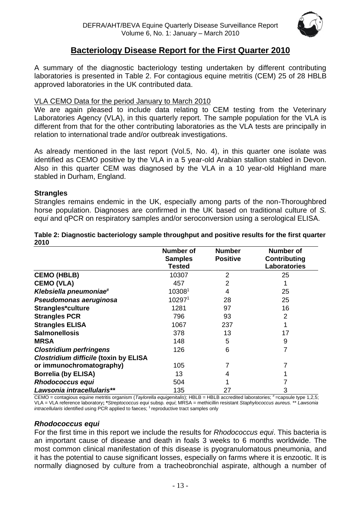

# **Bacteriology Disease Report for the First Quarter 2010**

<span id="page-12-0"></span>A summary of the diagnostic bacteriology testing undertaken by different contributing laboratories is presented in Table 2. For contagious equine metritis (CEM) 25 of 28 HBLB approved laboratories in the UK contributed data.

#### VLA CEMO Data for the period January to March 2010

We are again pleased to include data relating to CEM testing from the Veterinary Laboratories Agency (VLA), in this quarterly report. The sample population for the VLA is different from that for the other contributing laboratories as the VLA tests are principally in relation to international trade and/or outbreak investigations.

As already mentioned in the last report (Vol.5, No. 4), in this quarter one isolate was identified as CEMO positive by the VLA in a 5 year-old Arabian stallion stabled in Devon. Also in this quarter CEM was diagnosed by the VLA in a 10 year-old Highland mare stabled in Durham, England.

#### **Strangles**

Strangles remains endemic in the UK, especially among parts of the non-Thoroughbred horse population. Diagnoses are confirmed in the UK based on traditional culture of *S. equi* and qPCR on respiratory samples and/or seroconversion using a serological ELISA.

|                                              | <b>Number of</b><br><b>Samples</b><br><b>Tested</b> | <b>Number</b><br><b>Positive</b> | <b>Number of</b><br>Contributing<br><b>Laboratories</b> |
|----------------------------------------------|-----------------------------------------------------|----------------------------------|---------------------------------------------------------|
| <b>CEMO (HBLB)</b>                           | 10307                                               | 2                                | 25                                                      |
| <b>CEMO (VLA)</b>                            | 457                                                 | 2                                |                                                         |
| Klebsiella pneumoniae <sup>#</sup>           | 103081                                              | 4                                | 25                                                      |
| Pseudomonas aeruginosa                       | 102971                                              | 28                               | 25                                                      |
| Strangles*culture                            | 1281                                                | 97                               | 16                                                      |
| <b>Strangles PCR</b>                         | 796                                                 | 93                               | $\overline{2}$                                          |
| <b>Strangles ELISA</b>                       | 1067                                                | 237                              |                                                         |
| <b>Salmonellosis</b>                         | 378                                                 | 13                               | 17                                                      |
| <b>MRSA</b>                                  | 148                                                 | 5                                | 9                                                       |
| <b>Clostridium perfringens</b>               | 126                                                 | 6                                | 7                                                       |
| <b>Clostridium difficile (toxin by ELISA</b> |                                                     |                                  |                                                         |
| or immunochromatography)                     | 105                                                 |                                  |                                                         |
| <b>Borrelia (by ELISA)</b>                   | 13                                                  | 4                                |                                                         |
| <b>Rhodococcus equi</b>                      | 504                                                 |                                  |                                                         |
| Lawsonia intracellularis**                   | 135                                                 | 27                               | 3                                                       |

**Table 2: Diagnostic bacteriology sample throughput and positive results for the first quarter 2010**

CEMO = contagious equine metritis organism (*Taylorella equigenitalis*); HBLB = HBLB accredited laboratories; #=capsule type 1,2,5; VLA = VLA reference laboratory**; \****Streptococcus equi* subsp*. equi*; MRSA = methicillin resistant *Staphylococcus aureus.* \*\* *Lawsonia intracellularis* identified using PCR applied to faeces; <sup>1</sup> reproductive tract samples only

#### *Rhodococcus equi*

For the first time in this report we include the results for *Rhodococcus equi*. This bacteria is an important cause of disease and death in foals 3 weeks to 6 months worldwide. The most common clinical manifestation of this disease is pyogranulomatous pneumonia, and it has the potential to cause significant losses, especially on farms where it is enzootic. It is normally diagnosed by culture from a tracheobronchial aspirate, although a number of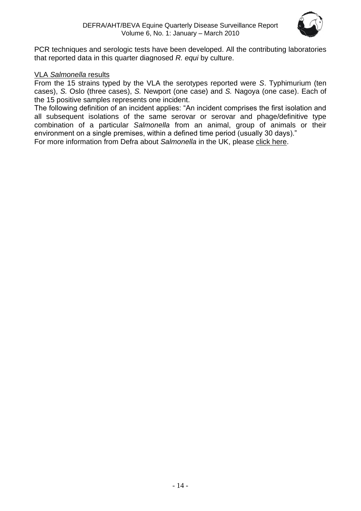

PCR techniques and serologic tests have been developed. All the contributing laboratories that reported data in this quarter diagnosed *R. equi* by culture.

## VLA *Salmonella* results

From the 15 strains typed by the VLA the serotypes reported were *S*. Typhimurium (ten cases), *S.* Oslo (three cases), *S.* Newport (one case) and *S.* Nagoya (one case). Each of the 15 positive samples represents one incident.

The following definition of an incident applies: "An incident comprises the first isolation and all subsequent isolations of the same serovar or serovar and phage/definitive type combination of a particular *Salmonella* from an animal, group of animals or their environment on a single premises, within a defined time period (usually 30 days)."

For more information from Defra about *Salmonella* in the UK, please [click here.](http://www.defra.gov.uk/vla/reports/rep_salm_rep07.htm)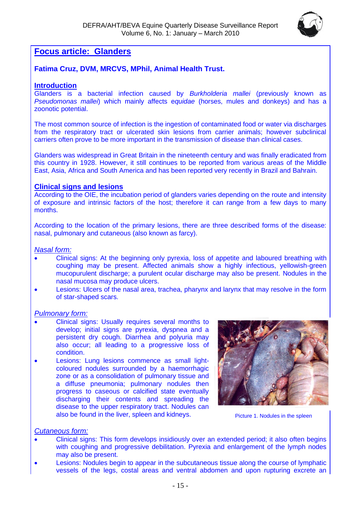

# <span id="page-14-0"></span>**Focus article: Glanders**

# **Fatima Cruz, DVM, MRCVS, MPhil, Animal Health Trust.**

#### **Introduction**

Glanders is a bacterial infection caused by *Burkholderia mallei* (previously known as *Pseudomonas mallei*) which mainly affects e*quidae* (horses, mules and donkeys) and has a zoonotic potential.

The most common source of infection is the ingestion of contaminated food or water via discharges from the respiratory tract or ulcerated skin lesions from carrier animals; however subclinical carriers often prove to be more important in the transmission of disease than clinical cases.

Glanders was widespread in Great Britain in the nineteenth century and was finally eradicated from this country in 1928. However, it still continues to be reported from various areas of the Middle East, Asia, Africa and South America and has been reported very recently in Brazil and Bahrain.

#### **Clinical signs and lesions**

According to the OIE, the incubation period of glanders varies depending on the route and intensity of exposure and intrinsic factors of the host; therefore it can range from a few days to many months.

According to the location of the primary lesions, there are three described forms of the disease: nasal, pulmonary and cutaneous (also known as farcy).

#### *Nasal form:*

- Clinical signs: At the beginning only pyrexia, loss of appetite and laboured breathing with coughing may be present. Affected animals show a highly infectious, yellowish-green mucopurulent discharge; a purulent ocular discharge may also be present. Nodules in the nasal mucosa may produce ulcers.
- Lesions: Ulcers of the nasal area, trachea, pharynx and larynx that may resolve in the form of star-shaped scars.

#### *Pulmonary form:*

- Clinical signs: Usually requires several months to develop; initial signs are pyrexia, dyspnea and a persistent dry cough. Diarrhea and polyuria may also occur; all leading to a progressive loss of condition.
- Lesions: Lung lesions commence as small lightcoloured nodules surrounded by a haemorrhagic zone or as a consolidation of pulmonary tissue and a diffuse pneumonia; pulmonary nodules then progress to caseous or calcified state eventually discharging their contents and spreading the disease to the upper respiratory tract. Nodules can also be found in the liver, spleen and kidneys.



Picture 1. Nodules in the spleen

#### *Cutaneous form:*

- Clinical signs: This form develops insidiously over an extended period; it also often begins with coughing and progressive debilitation. Pyrexia and enlargement of the lymph nodes may also be present.
- Lesions: Nodules begin to appear in the subcutaneous tissue along the course of lymphatic vessels of the legs, costal areas and ventral abdomen and upon rupturing excrete an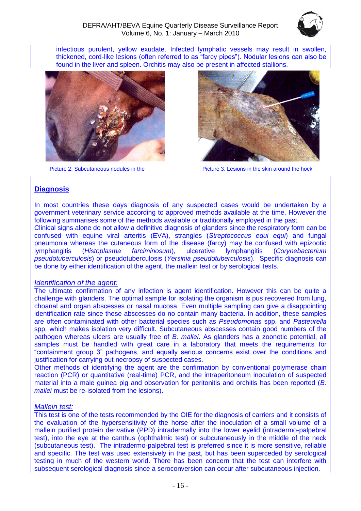

infectious purulent, yellow exudate. Infected lymphatic vessels may result in swollen, thickened, cord-like lesions (often referred to as "farcy pipes"). Nodular lesions can also be found in the liver and spleen. Orchitis may also be present in affected stallions.



Picture 2. Subcutaneous nodules in the



Picture 3. Lesions in the skin around the hock

# **Diagnosis**

In most countries these days diagnosis of any suspected cases would be undertaken by a government veterinary service according to approved methods available at the time. However the following summarises some of the methods available or traditionally employed in the past.

Clinical signs alone do not allow a definitive diagnosis of glanders since the respiratory form can be confused with equine viral arteritis (EVA), strangles (*Streptococcus equi equi*) and fungal pneumonia whereas the cutaneous form of the disease (farcy) may be confused with epizootic lymphangitis (*Histoplasma farciminosum*), ulcerative lymphangitis (*Corynebacterium pseudotuberculosis*) or pseudotuberculosis (*Yersinia pseudotuberculosis*). Specific diagnosis can be done by either identification of the agent, the mallein test or by serological tests.

#### *Identification of the agent:*

The ultimate confirmation of any infection is agent identification. However this can be quite a challenge with glanders. The optimal sample for isolating the organism is pus recovered from lung, choanal and organ abscesses or nasal mucosa. Even multiple sampling can give a disappointing identification rate since these abscesses do no contain many bacteria. In addition, these samples are often contaminated with other bacterial species such as *Pseudomonas* spp. and *Pasteurella* spp. which makes isolation very difficult. Subcutaneous abscesses contain good numbers of the pathogen whereas ulcers are usually free of *B. mallei*. As glanders has a zoonotic potential, all samples must be handled with great care in a laboratory that meets the requirements for "containment group 3" pathogens, and equally serious concerns exist over the conditions and justification for carrying out necropsy of suspected cases.

Other methods of identifying the agent are the confirmation by conventional polymerase chain reaction (PCR) or quantitative (real-time) PCR, and the intraperitoneum inoculation of suspected material into a male guinea pig and observation for peritonitis and orchitis has been reported (*B. mallei* must be re-isolated from the lesions).

#### *Mallein test:*

This test is one of the tests recommended by the OIE for the diagnosis of carriers and it consists of the evaluation of the hypersensitivity of the horse after the inoculation of a small volume of a mallein purified protein derivative (PPD) intradermally into the lower eyelid (intradermo-palpebral test), into the eye at the canthus (ophthalmic test) or subcutaneously in the middle of the neck (subcutaneous test). The intradermo-palpebral test is preferred since it is more sensitive, reliable and specific. The test was used extensively in the past, but has been superceded by serological testing in much of the western world. There has been concern that the test can interfere with subsequent serological diagnosis since a seroconversion can occur after subcutaneous injection.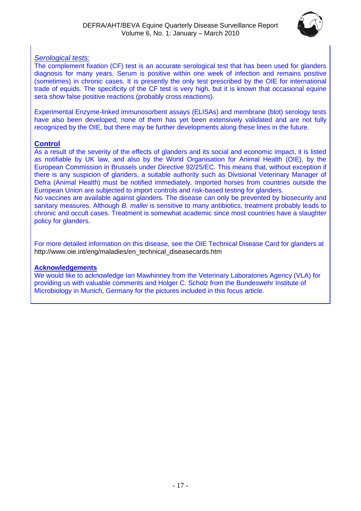

# *Serological tests:*

The complement fixation (CF) test is an accurate serological test that has been used for glanders diagnosis for many years. Serum is positive within one week of infection and remains positive (sometimes) in chronic cases. It is presently the only test prescribed by the OIE for international trade of equids. The specificity of the CF test is very high, but it is known that occasional equine sera show false positive reactions (probably cross reactions).

Experimental Enzyme-linked immunosorbent assays (ELISAs) and membrane (blot) serology tests have also been developed; none of them has yet been extensively validated and are not fully recognized by the OIE, but there may be further developments along these lines in the future.

## **Control**

As a result of the severity of the effects of glanders and its social and economic impact, it is listed as notifiable by UK law, and also by the World Organisation for Animal Health (OIE), by the European Commission in Brussels under Directive 92/25/EC. This means that, without exception if there is any suspicion of glanders, a suitable authority such as Divisional Veterinary Manager of Defra (Animal Health) must be notified immediately. Imported horses from countries outside the European Union are subjected to import controls and risk-based testing for glanders.

No vaccines are available against glanders. The disease can only be prevented by biosecurity and sanitary measures. Although *B. mallei* is sensitive to many antibiotics, treatment probably leads to chronic and occult cases. Treatment is somewhat academic since most countries have a slaughter policy for glanders.

For more detailed information on this disease, see the OIE Technical Disease Card for glanders at [http://www.oie.int/eng/maladies/en\\_technical\\_diseasecards.htm](http://www.oie.int/eng/maladies/en_technical_diseasecards.htm) 

#### **Acknowledgements**

We would like to acknowledge Ian Mawhinney from the Veterinary Laboratories Agency (VLA) for providing us with valuable comments and Holger C. Scholz from the Bundeswehr Institute of Microbiology in Munich, Germany for the pictures included in this focus article.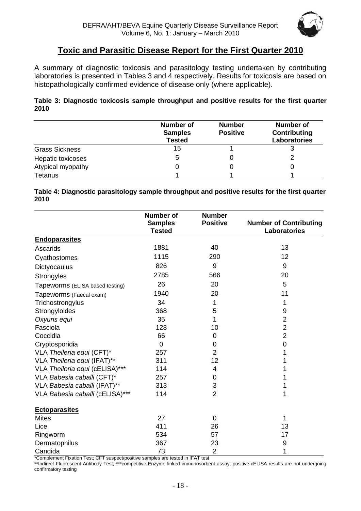

# **Toxic and Parasitic Disease Report for the First Quarter 2010**

<span id="page-17-0"></span>A summary of diagnostic toxicosis and parasitology testing undertaken by contributing laboratories is presented in Tables 3 and 4 respectively. Results for toxicosis are based on histopathologically confirmed evidence of disease only (where applicable).

#### **Table 3: Diagnostic toxicosis sample throughput and positive results for the first quarter 2010**

|                       | <b>Number of</b><br><b>Samples</b><br><b>Tested</b> | <b>Number</b><br><b>Positive</b> | Number of<br>Contributing<br>Laboratories |
|-----------------------|-----------------------------------------------------|----------------------------------|-------------------------------------------|
| <b>Grass Sickness</b> | 15                                                  |                                  | 3                                         |
| Hepatic toxicoses     | 5                                                   |                                  |                                           |
| Atypical myopathy     |                                                     |                                  |                                           |
| Tetanus               |                                                     |                                  |                                           |

**Table 4: Diagnostic parasitology sample throughput and positive results for the first quarter 2010**

|                                 | <b>Number of</b><br><b>Samples</b> | <b>Number</b><br><b>Positive</b> | <b>Number of Contributing</b> |
|---------------------------------|------------------------------------|----------------------------------|-------------------------------|
|                                 | <b>Tested</b>                      |                                  | Laboratories                  |
| <b>Endoparasites</b>            |                                    |                                  |                               |
| Ascarids                        | 1881                               | 40                               | 13                            |
| Cyathostomes                    | 1115                               | 290                              | 12                            |
| Dictyocaulus                    | 826                                | 9                                | 9                             |
| <b>Strongyles</b>               | 2785                               | 566                              | 20                            |
| Tapeworms (ELISA based testing) | 26                                 | 20                               | 5                             |
| Tapeworms (Faecal exam)         | 1940                               | 20                               | 11                            |
| Trichostrongylus                | 34                                 | 1                                | 1                             |
| Strongyloides                   | 368                                | 5                                | 9                             |
| Oxyuris equi                    | 35                                 | 1                                | $\overline{2}$                |
| Fasciola                        | 128                                | 10                               | $\overline{2}$                |
| Coccidia                        | 66                                 | $\mathbf 0$                      | $\overline{2}$                |
| Cryptosporidia                  | $\Omega$                           | 0                                | $\overline{0}$                |
| VLA Theileria equi (CFT)*       | 257                                | $\overline{2}$                   |                               |
| VLA Theileria equi (IFAT)**     | 311                                | 12                               |                               |
| VLA Theileria equi (cELISA)***  | 114                                | $\overline{4}$                   |                               |
| VLA Babesia caballi (CFT)*      | 257                                | 0                                |                               |
| VLA Babesia caballi (IFAT)**    | 313                                | 3                                | 1                             |
| VLA Babesia caballi (cELISA)*** | 114                                | $\overline{2}$                   | 1                             |
| <b>Ectoparasites</b>            |                                    |                                  |                               |
| <b>Mites</b>                    | 27                                 | $\mathbf 0$                      | 1                             |
| Lice                            | 411                                | 26                               | 13                            |
| Ringworm                        | 534                                | 57                               | 17                            |
| Dermatophilus                   | 367                                | 23                               | 9                             |
| Candida                         | 73                                 | $\overline{2}$                   | 1                             |

\*Complement Fixation Test; CFT suspect/positive samples are tested in IFAT test

\*\*Indirect Fluorescent Antibody Test; \*\*\*competitive Enzyme-linked immunosorbent assay; positive cELISA results are not undergoing confirmatory testing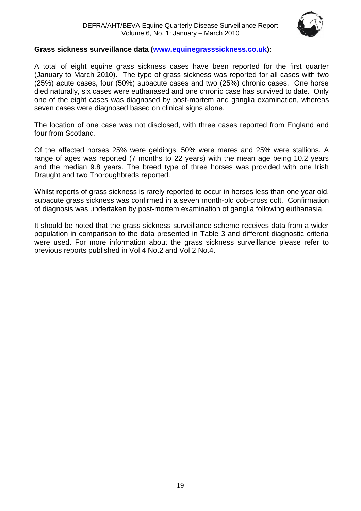

## **Grass sickness surveillance data [\(www.equinegrasssickness.co.uk\)](http://www.equinegrasssickness.co.uk/):**

A total of eight equine grass sickness cases have been reported for the first quarter (January to March 2010). The type of grass sickness was reported for all cases with two (25%) acute cases, four (50%) subacute cases and two (25%) chronic cases. One horse died naturally, six cases were euthanased and one chronic case has survived to date. Only one of the eight cases was diagnosed by post-mortem and ganglia examination, whereas seven cases were diagnosed based on clinical signs alone.

The location of one case was not disclosed, with three cases reported from England and four from Scotland.

Of the affected horses 25% were geldings, 50% were mares and 25% were stallions. A range of ages was reported (7 months to 22 years) with the mean age being 10.2 years and the median 9.8 years. The breed type of three horses was provided with one Irish Draught and two Thoroughbreds reported.

Whilst reports of grass sickness is rarely reported to occur in horses less than one year old, subacute grass sickness was confirmed in a seven month-old cob-cross colt. Confirmation of diagnosis was undertaken by post-mortem examination of ganglia following euthanasia.

It should be noted that the grass sickness surveillance scheme receives data from a wider population in comparison to the data presented in Table 3 and different diagnostic criteria were used. For more information about the grass sickness surveillance please refer to previous reports published in Vol.4 No.2 and Vol.2 No.4.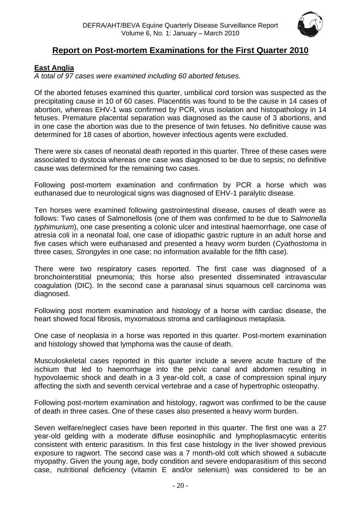

# **Report on Post-mortem Examinations for the First Quarter 2010**

# <span id="page-19-1"></span><span id="page-19-0"></span>**East Anglia**

*A total of 97 cases were examined including 60 aborted fetuses.*

Of the aborted fetuses examined this quarter, umbilical cord torsion was suspected as the precipitating cause in 10 of 60 cases. Placentitis was found to be the cause in 14 cases of abortion, whereas EHV-1 was confirmed by PCR, virus isolation and histopathology in 14 fetuses. Premature placental separation was diagnosed as the cause of 3 abortions, and in one case the abortion was due to the presence of twin fetuses. No definitive cause was determined for 18 cases of abortion, however infectious agents were excluded.

There were six cases of neonatal death reported in this quarter. Three of these cases were associated to dystocia whereas one case was diagnosed to be due to sepsis; no definitive cause was determined for the remaining two cases.

Following post-mortem examination and confirmation by PCR a horse which was euthanased due to neurological signs was diagnosed of EHV-1 paralytic disease.

Ten horses were examined following gastrointestinal disease, causes of death were as follows: Two cases of Salmonellosis (one of them was confirmed to be due to *Salmonella typhimurium*), one case presenting a colonic ulcer and intestinal haemorrhage, one case of atresia coli in a neonatal foal, one case of idiopathic gastric rupture in an adult horse and five cases which were euthanased and presented a heavy worm burden (*Cyathostoma* in three cases, *Strongyles* in one case; no information available for the fifth case).

There were two respiratory cases reported. The first case was diagnosed of a bronchointerstitial pneumonia; this horse also presented disseminated intravascular coagulation (DIC). In the second case a paranasal sinus squamous cell carcinoma was diagnosed.

Following post mortem examination and histology of a horse with cardiac disease, the heart showed focal fibrosis, myxomatous stroma and cartilaginous metaplasia.

One case of neoplasia in a horse was reported in this quarter. Post-mortem examination and histology showed that lymphoma was the cause of death.

Musculoskeletal cases reported in this quarter include a severe acute fracture of the ischium that led to haemorrhage into the pelvic canal and abdomen resulting in hypovolaemic shock and death in a 3 year-old colt, a case of compression spinal injury affecting the sixth and seventh cervical vertebrae and a case of hypertrophic osteopathy.

Following post-mortem examination and histology, ragwort was confirmed to be the cause of death in three cases. One of these cases also presented a heavy worm burden.

Seven welfare/neglect cases have been reported in this quarter. The first one was a 27 year-old gelding with a moderate diffuse eosinophilic and lymphoplasmacytic enteritis consistent with enteric parasitism. In this first case histology in the liver showed previous exposure to ragwort. The second case was a 7 month-old colt which showed a subacute myopathy. Given the young age, body condition and severe endoparasitism of this second case, nutritional deficiency (vitamin E and/or selenium) was considered to be an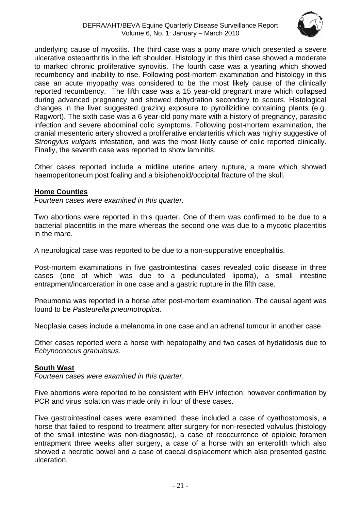

underlying cause of myositis. The third case was a pony mare which presented a severe ulcerative osteoarthritis in the left shoulder. Histology in this third case showed a moderate to marked chronic proliferative synovitis. The fourth case was a yearling which showed recumbency and inability to rise. Following post-mortem examination and histology in this case an acute myopathy was considered to be the most likely cause of the clinically reported recumbency. The fifth case was a 15 year-old pregnant mare which collapsed during advanced pregnancy and showed dehydration secondary to scours. Histological changes in the liver suggested grazing exposure to pyrollizidine containing plants (e.g. Ragwort). The sixth case was a 6 year-old pony mare with a history of pregnancy, parasitic infection and severe abdominal colic symptoms. Following post-mortem examination, the cranial mesenteric artery showed a proliferative endarteritis which was highly suggestive of *Strongylus vulgaris* infestation, and was the most likely cause of colic reported clinically. Finally, the seventh case was reported to show laminitis.

Other cases reported include a midline uterine artery rupture, a mare which showed haemoperitoneum post foaling and a bisiphenoid/occipital fracture of the skull.

#### <span id="page-20-0"></span>**Home Counties**

*Fourteen cases were examined in this quarter.*

Two abortions were reported in this quarter. One of them was confirmed to be due to a bacterial placentitis in the mare whereas the second one was due to a mycotic placentitis in the mare.

A neurological case was reported to be due to a non-suppurative encephalitis.

Post-mortem examinations in five gastrointestinal cases revealed colic disease in three cases (one of which was due to a pedunculated lipoma), a small intestine entrapment/incarceration in one case and a gastric rupture in the fifth case.

Pneumonia was reported in a horse after post-mortem examination. The causal agent was found to be *Pasteurella pneumotropica*.

Neoplasia cases include a melanoma in one case and an adrenal tumour in another case.

Other cases reported were a horse with hepatopathy and two cases of hydatidosis due to *Echynococcus granulosus.*

#### <span id="page-20-1"></span>**South West**

*Fourteen cases were examined in this quarter*.

Five abortions were reported to be consistent with EHV infection; however confirmation by PCR and virus isolation was made only in four of these cases.

Five gastrointestinal cases were examined; these included a case of cyathostomosis, a horse that failed to respond to treatment after surgery for non-resected volvulus (histology of the small intestine was non-diagnostic), a case of reoccurrence of epiploic foramen entrapment three weeks after surgery, a case of a horse with an enterolith which also showed a necrotic bowel and a case of caecal displacement which also presented gastric ulceration.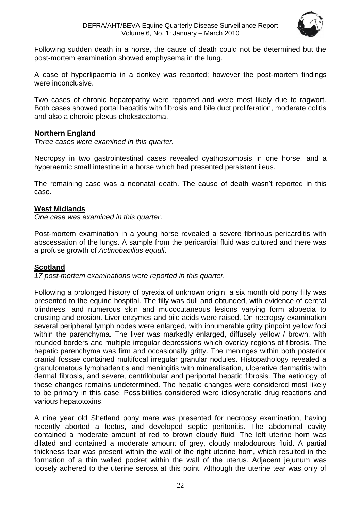

Following sudden death in a horse, the cause of death could not be determined but the post-mortem examination showed emphysema in the lung.

A case of hyperlipaemia in a donkey was reported; however the post-mortem findings were inconclusive.

Two cases of chronic hepatopathy were reported and were most likely due to ragwort. Both cases showed portal hepatitis with fibrosis and bile duct proliferation, moderate colitis and also a choroid plexus cholesteatoma.

#### <span id="page-21-0"></span>**Northern England**

*Three cases were examined in this quarter.*

Necropsy in two gastrointestinal cases revealed cyathostomosis in one horse, and a hyperaemic small intestine in a horse which had presented persistent ileus.

The remaining case was a neonatal death. The cause of death wasn't reported in this case.

#### <span id="page-21-1"></span>**West Midlands**

*One case was examined in this quarter*.

Post-mortem examination in a young horse revealed a severe fibrinous pericarditis with abscessation of the lungs. A sample from the pericardial fluid was cultured and there was a profuse growth of *Actinobacillus equuli*.

#### <span id="page-21-2"></span>**Scotland**

*17 post-mortem examinations were reported in this quarter.*

Following a prolonged history of pyrexia of unknown origin, a six month old pony filly was presented to the equine hospital. The filly was dull and obtunded, with evidence of central blindness, and numerous skin and mucocutaneous lesions varying form alopecia to crusting and erosion. Liver enzymes and bile acids were raised. On necropsy examination several peripheral lymph nodes were enlarged, with innumerable gritty pinpoint yellow foci within the parenchyma. The liver was markedly enlarged, diffusely yellow / brown, with rounded borders and multiple irregular depressions which overlay regions of fibrosis. The hepatic parenchyma was firm and occasionally gritty. The meninges within both posterior cranial fossae contained multifocal irregular granular nodules. Histopathology revealed a granulomatous lymphadenitis and meningitis with mineralisation, ulcerative dermatitis with dermal fibrosis, and severe, centrilobular and periportal hepatic fibrosis. The aetiology of these changes remains undetermined. The hepatic changes were considered most likely to be primary in this case. Possibilities considered were idiosyncratic drug reactions and various hepatotoxins.

A nine year old Shetland pony mare was presented for necropsy examination, having recently aborted a foetus, and developed septic peritonitis. The abdominal cavity contained a moderate amount of red to brown cloudy fluid. The left uterine horn was dilated and contained a moderate amount of grey, cloudy malodourous fluid. A partial thickness tear was present within the wall of the right uterine horn, which resulted in the formation of a thin walled pocket within the wall of the uterus. Adjacent jejunum was loosely adhered to the uterine serosa at this point. Although the uterine tear was only of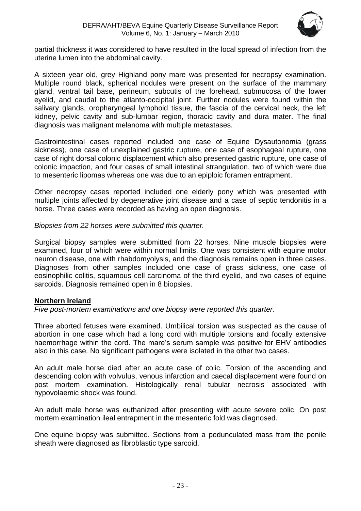

partial thickness it was considered to have resulted in the local spread of infection from the uterine lumen into the abdominal cavity.

A sixteen year old, grey Highland pony mare was presented for necropsy examination. Multiple round black, spherical nodules were present on the surface of the mammary gland, ventral tail base, perineum, subcutis of the forehead, submucosa of the lower eyelid, and caudal to the atlanto-occipital joint. Further nodules were found within the salivary glands, oropharyngeal lymphoid tissue, the fascia of the cervical neck, the left kidney, pelvic cavity and sub-lumbar region, thoracic cavity and dura mater. The final diagnosis was malignant melanoma with multiple metastases.

Gastrointestinal cases reported included one case of Equine Dysautonomia (grass sickness), one case of unexplained gastric rupture, one case of esophageal rupture, one case of right dorsal colonic displacement which also presented gastric rupture, one case of colonic impaction, and four cases of small intestinal strangulation, two of which were due to mesenteric lipomas whereas one was due to an epiploic foramen entrapment.

Other necropsy cases reported included one elderly pony which was presented with multiple joints affected by degenerative joint disease and a case of septic tendonitis in a horse. Three cases were recorded as having an open diagnosis.

*Biopsies from 22 horses were submitted this quarter.*

Surgical biopsy samples were submitted from 22 horses. Nine muscle biopsies were examined, four of which were within normal limits. One was consistent with equine motor neuron disease, one with rhabdomyolysis, and the diagnosis remains open in three cases. Diagnoses from other samples included one case of grass sickness, one case of eosinophilic colitis, squamous cell carcinoma of the third eyelid, and two cases of equine sarcoids. Diagnosis remained open in 8 biopsies.

# <span id="page-22-0"></span>**Northern Ireland**

*Five post-mortem examinations and one biopsy were reported this quarter.*

Three aborted fetuses were examined. Umbilical torsion was suspected as the cause of abortion in one case which had a long cord with multiple torsions and focally extensive haemorrhage within the cord. The mare's serum sample was positive for EHV antibodies also in this case. No significant pathogens were isolated in the other two cases.

An adult male horse died after an acute case of colic. Torsion of the ascending and descending colon with volvulus, venous infarction and caecal displacement were found on post mortem examination. Histologically renal tubular necrosis associated with hypovolaemic shock was found.

An adult male horse was euthanized after presenting with acute severe colic. On post mortem examination ileal entrapment in the mesenteric fold was diagnosed.

One equine biopsy was submitted. Sections from a pedunculated mass from the penile sheath were diagnosed as fibroblastic type sarcoid.